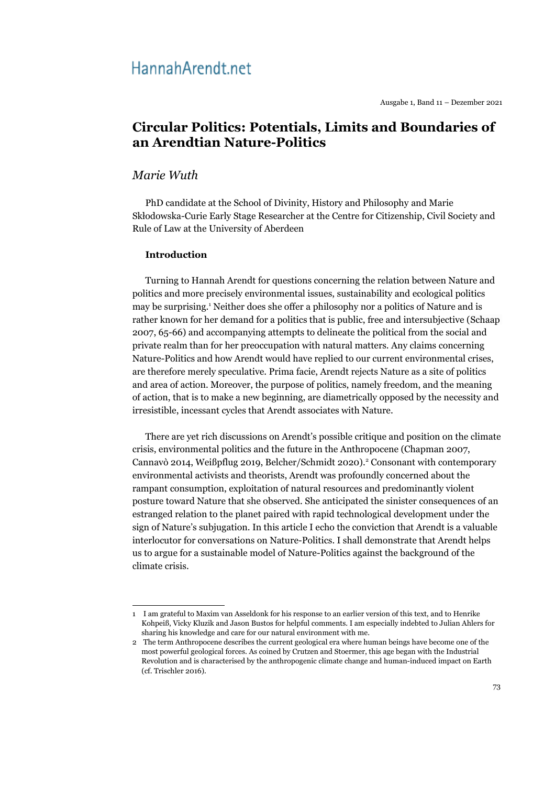# Hannah Arendt.net

Ausgabe 1, Band 11 – Dezember 2021

# **Circular Politics: Potentials, Limits and Boundaries of an Arendtian Nature-Politics**

# *Marie Wuth*

PhD candidate at the School of Divinity, History and Philosophy and Marie Skłodowska-Curie Early Stage Researcher at the Centre for Citizenship, Civil Society and Rule of Law at the University of Aberdeen

# **Introduction**

Turning to Hannah Arendt for questions concerning the relation between Nature and politics and more precisely environmental issues, sustainability and ecological politics may be surprising.[1](#page-0-0) Neither does she offer a philosophy nor a politics of Nature and is rather known for her demand for a politics that is public, free and intersubjective (Schaap 2007, 65-66) and accompanying attempts to delineate the political from the social and private realm than for her preoccupation with natural matters. Any claims concerning Nature-Politics and how Arendt would have replied to our current environmental crises, are therefore merely speculative. Prima facie, Arendt rejects Nature as a site of politics and area of action. Moreover, the purpose of politics, namely freedom, and the meaning of action, that is to make a new beginning, are diametrically opposed by the necessity and irresistible, incessant cycles that Arendt associates with Nature.

There are yet rich discussions on Arendt's possible critique and position on the climate crisis, environmental politics and the future in the Anthropocene (Chapman 2007, Cannavò [2](#page-0-1)014, Weißpflug 2019, Belcher/Schmidt 2020).<sup>2</sup> Consonant with contemporary environmental activists and theorists, Arendt was profoundly concerned about the rampant consumption, exploitation of natural resources and predominantly violent posture toward Nature that she observed. She anticipated the sinister consequences of an estranged relation to the planet paired with rapid technological development under the sign of Nature's subjugation. In this article I echo the conviction that Arendt is a valuable interlocutor for conversations on Nature-Politics. I shall demonstrate that Arendt helps us to argue for a sustainable model of Nature-Politics against the background of the climate crisis.

<span id="page-0-0"></span><sup>1</sup> I am grateful to Maxim van Asseldonk for his response to an earlier version of this text, and to Henrike Kohpeiß, Vicky Kluzik and Jason Bustos for helpful comments. I am especially indebted to Julian Ahlers for sharing his knowledge and care for our natural environment with me.

<span id="page-0-1"></span><sup>2</sup> The term Anthropocene describes the current geological era where human beings have become one of the most powerful geological forces. As coined by Crutzen and Stoermer, this age began with the Industrial Revolution and is characterised by the anthropogenic climate change and human-induced impact on Earth (cf. Trischler 2016).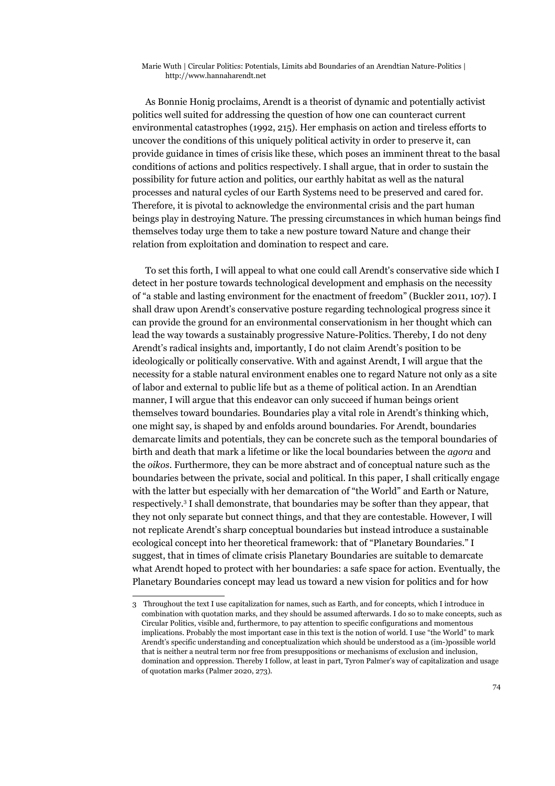As Bonnie Honig proclaims, Arendt is a theorist of dynamic and potentially activist politics well suited for addressing the question of how one can counteract current environmental catastrophes (1992, 215). Her emphasis on action and tireless efforts to uncover the conditions of this uniquely political activity in order to preserve it, can provide guidance in times of crisis like these, which poses an imminent threat to the basal conditions of actions and politics respectively. I shall argue, that in order to sustain the possibility for future action and politics, our earthly habitat as well as the natural processes and natural cycles of our Earth Systems need to be preserved and cared for. Therefore, it is pivotal to acknowledge the environmental crisis and the part human beings play in destroying Nature. The pressing circumstances in which human beings find themselves today urge them to take a new posture toward Nature and change their relation from exploitation and domination to respect and care.

To set this forth, I will appeal to what one could call Arendt's conservative side which I detect in her posture towards technological development and emphasis on the necessity of "a stable and lasting environment for the enactment of freedom" (Buckler 2011, 107). I shall draw upon Arendt's conservative posture regarding technological progress since it can provide the ground for an environmental conservationism in her thought which can lead the way towards a sustainably progressive Nature-Politics. Thereby, I do not deny Arendt's radical insights and, importantly, I do not claim Arendt's position to be ideologically or politically conservative. With and against Arendt, I will argue that the necessity for a stable natural environment enables one to regard Nature not only as a site of labor and external to public life but as a theme of political action. In an Arendtian manner, I will argue that this endeavor can only succeed if human beings orient themselves toward boundaries. Boundaries play a vital role in Arendt's thinking which, one might say, is shaped by and enfolds around boundaries. For Arendt, boundaries demarcate limits and potentials, they can be concrete such as the temporal boundaries of birth and death that mark a lifetime or like the local boundaries between the *agora* and the *oikos*. Furthermore, they can be more abstract and of conceptual nature such as the boundaries between the private, social and political. In this paper, I shall critically engage with the latter but especially with her demarcation of "the World" and Earth or Nature, respectively.[3](#page-1-0) I shall demonstrate, that boundaries may be softer than they appear, that they not only separate but connect things, and that they are contestable. However, I will not replicate Arendt's sharp conceptual boundaries but instead introduce a sustainable ecological concept into her theoretical framework: that of "Planetary Boundaries." I suggest, that in times of climate crisis Planetary Boundaries are suitable to demarcate what Arendt hoped to protect with her boundaries: a safe space for action. Eventually, the Planetary Boundaries concept may lead us toward a new vision for politics and for how

<span id="page-1-0"></span><sup>3</sup> Throughout the text I use capitalization for names, such as Earth, and for concepts, which I introduce in combination with quotation marks, and they should be assumed afterwards. I do so to make concepts, such as Circular Politics, visible and, furthermore, to pay attention to specific configurations and momentous implications. Probably the most important case in this text is the notion of world. I use "the World" to mark Arendt's specific understanding and conceptualization which should be understood as a (im-)possible world that is neither a neutral term nor free from presuppositions or mechanisms of exclusion and inclusion, domination and oppression. Thereby I follow, at least in part, Tyron Palmer's way of capitalization and usage of quotation marks (Palmer 2020, 273).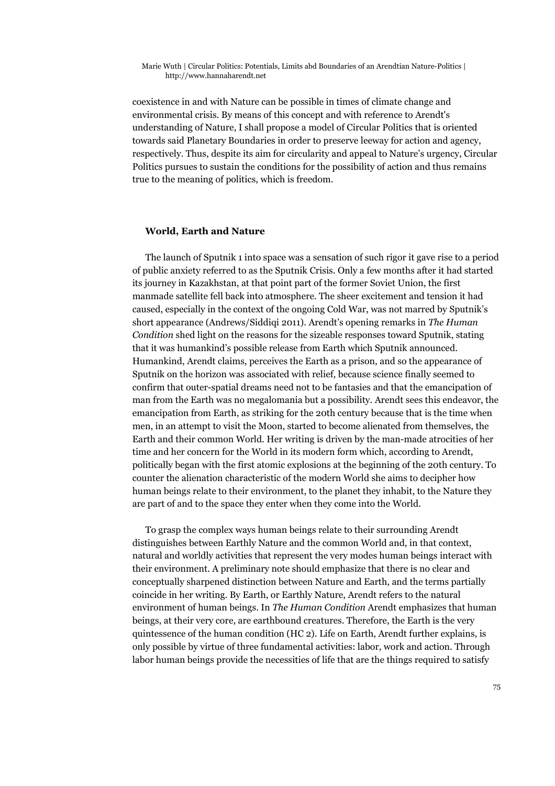coexistence in and with Nature can be possible in times of climate change and environmental crisis. By means of this concept and with reference to Arendt's understanding of Nature, I shall propose a model of Circular Politics that is oriented towards said Planetary Boundaries in order to preserve leeway for action and agency, respectively. Thus, despite its aim for circularity and appeal to Nature's urgency, Circular Politics pursues to sustain the conditions for the possibility of action and thus remains true to the meaning of politics, which is freedom.

# **World, Earth and Nature**

The launch of Sputnik 1 into space was a sensation of such rigor it gave rise to a period of public anxiety referred to as the Sputnik Crisis. Only a few months after it had started its journey in Kazakhstan, at that point part of the former Soviet Union, the first manmade satellite fell back into atmosphere. The sheer excitement and tension it had caused, especially in the context of the ongoing Cold War, was not marred by Sputnik's short appearance (Andrews/Siddiqi 2011). Arendt's opening remarks in *The Human Condition* shed light on the reasons for the sizeable responses toward Sputnik, stating that it was humankind's possible release from Earth which Sputnik announced. Humankind, Arendt claims, perceives the Earth as a prison, and so the appearance of Sputnik on the horizon was associated with relief, because science finally seemed to confirm that outer-spatial dreams need not to be fantasies and that the emancipation of man from the Earth was no megalomania but a possibility. Arendt sees this endeavor, the emancipation from Earth, as striking for the 20th century because that is the time when men, in an attempt to visit the Moon, started to become alienated from themselves, the Earth and their common World. Her writing is driven by the man-made atrocities of her time and her concern for the World in its modern form which, according to Arendt, politically began with the first atomic explosions at the beginning of the 20th century. To counter the alienation characteristic of the modern World she aims to decipher how human beings relate to their environment, to the planet they inhabit, to the Nature they are part of and to the space they enter when they come into the World.

To grasp the complex ways human beings relate to their surrounding Arendt distinguishes between Earthly Nature and the common World and, in that context, natural and worldly activities that represent the very modes human beings interact with their environment. A preliminary note should emphasize that there is no clear and conceptually sharpened distinction between Nature and Earth, and the terms partially coincide in her writing. By Earth, or Earthly Nature, Arendt refers to the natural environment of human beings. In *The Human Condition* Arendt emphasizes that human beings, at their very core, are earthbound creatures. Therefore, the Earth is the very quintessence of the human condition (HC 2). Life on Earth, Arendt further explains, is only possible by virtue of three fundamental activities: labor, work and action. Through labor human beings provide the necessities of life that are the things required to satisfy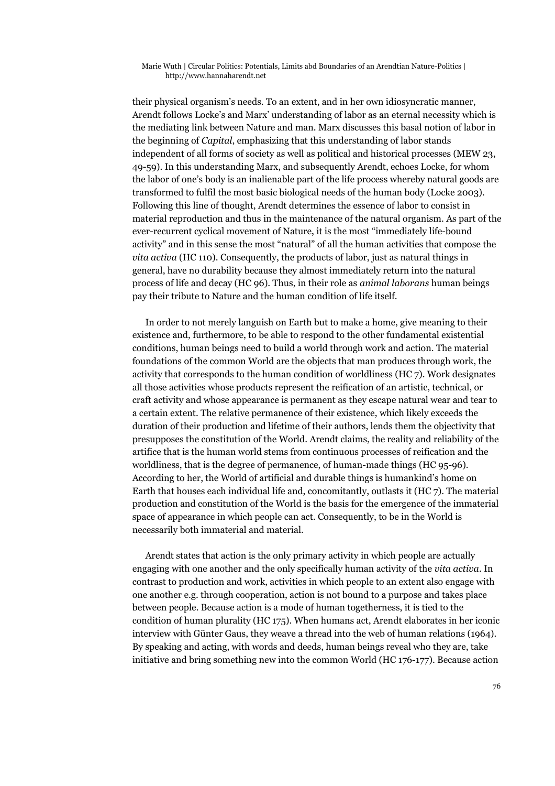their physical organism's needs. To an extent, and in her own idiosyncratic manner, Arendt follows Locke's and Marx' understanding of labor as an eternal necessity which is the mediating link between Nature and man. Marx discusses this basal notion of labor in the beginning of *Capital*, emphasizing that this understanding of labor stands independent of all forms of society as well as political and historical processes (MEW 23, 49-59). In this understanding Marx, and subsequently Arendt, echoes Locke, for whom the labor of one's body is an inalienable part of the life process whereby natural goods are transformed to fulfil the most basic biological needs of the human body (Locke 2003). Following this line of thought, Arendt determines the essence of labor to consist in material reproduction and thus in the maintenance of the natural organism. As part of the ever-recurrent cyclical movement of Nature, it is the most "immediately life-bound activity" and in this sense the most "natural" of all the human activities that compose the *vita activa* (HC 110). Consequently, the products of labor, just as natural things in general, have no durability because they almost immediately return into the natural process of life and decay (HC 96). Thus, in their role as *animal laborans* human beings pay their tribute to Nature and the human condition of life itself.

In order to not merely languish on Earth but to make a home, give meaning to their existence and, furthermore, to be able to respond to the other fundamental existential conditions, human beings need to build a world through work and action. The material foundations of the common World are the objects that man produces through work, the activity that corresponds to the human condition of worldliness (HC 7). Work designates all those activities whose products represent the reification of an artistic, technical, or craft activity and whose appearance is permanent as they escape natural wear and tear to a certain extent. The relative permanence of their existence, which likely exceeds the duration of their production and lifetime of their authors, lends them the objectivity that presupposes the constitution of the World. Arendt claims, the reality and reliability of the artifice that is the human world stems from continuous processes of reification and the worldliness, that is the degree of permanence, of human-made things (HC 95-96). According to her, the World of artificial and durable things is humankind's home on Earth that houses each individual life and, concomitantly, outlasts it (HC 7). The material production and constitution of the World is the basis for the emergence of the immaterial space of appearance in which people can act. Consequently, to be in the World is necessarily both immaterial and material.

Arendt states that action is the only primary activity in which people are actually engaging with one another and the only specifically human activity of the *vita activa*. In contrast to production and work, activities in which people to an extent also engage with one another e.g. through cooperation, action is not bound to a purpose and takes place between people. Because action is a mode of human togetherness, it is tied to the condition of human plurality (HC 175). When humans act, Arendt elaborates in her iconic interview with Günter Gaus, they weave a thread into the web of human relations (1964). By speaking and acting, with words and deeds, human beings reveal who they are, take initiative and bring something new into the common World (HC 176-177). Because action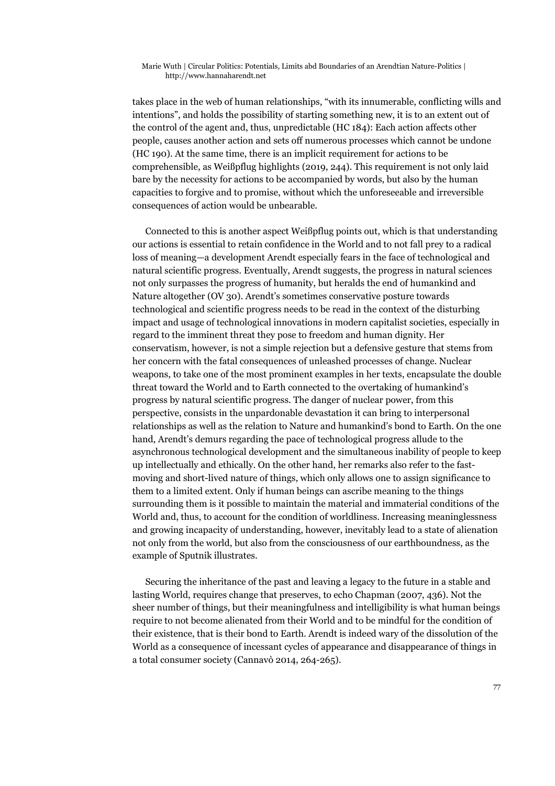takes place in the web of human relationships, "with its innumerable, conflicting wills and intentions", and holds the possibility of starting something new, it is to an extent out of the control of the agent and, thus, unpredictable (HC 184): Each action affects other people, causes another action and sets off numerous processes which cannot be undone (HC 190). At the same time, there is an implicit requirement for actions to be comprehensible, as Weißpflug highlights (2019, 244). This requirement is not only laid bare by the necessity for actions to be accompanied by words, but also by the human capacities to forgive and to promise, without which the unforeseeable and irreversible consequences of action would be unbearable.

Connected to this is another aspect Weißpflug points out, which is that understanding our actions is essential to retain confidence in the World and to not fall prey to a radical loss of meaning—a development Arendt especially fears in the face of technological and natural scientific progress. Eventually, Arendt suggests, the progress in natural sciences not only surpasses the progress of humanity, but heralds the end of humankind and Nature altogether (OV 30). Arendt's sometimes conservative posture towards technological and scientific progress needs to be read in the context of the disturbing impact and usage of technological innovations in modern capitalist societies, especially in regard to the imminent threat they pose to freedom and human dignity. Her conservatism, however, is not a simple rejection but a defensive gesture that stems from her concern with the fatal consequences of unleashed processes of change. Nuclear weapons, to take one of the most prominent examples in her texts, encapsulate the double threat toward the World and to Earth connected to the overtaking of humankind's progress by natural scientific progress. The danger of nuclear power, from this perspective, consists in the unpardonable devastation it can bring to interpersonal relationships as well as the relation to Nature and humankind's bond to Earth. On the one hand, Arendt's demurs regarding the pace of technological progress allude to the asynchronous technological development and the simultaneous inability of people to keep up intellectually and ethically. On the other hand, her remarks also refer to the fastmoving and short-lived nature of things, which only allows one to assign significance to them to a limited extent. Only if human beings can ascribe meaning to the things surrounding them is it possible to maintain the material and immaterial conditions of the World and, thus, to account for the condition of worldliness. Increasing meaninglessness and growing incapacity of understanding, however, inevitably lead to a state of alienation not only from the world, but also from the consciousness of our earthboundness, as the example of Sputnik illustrates.

Securing the inheritance of the past and leaving a legacy to the future in a stable and lasting World, requires change that preserves, to echo Chapman (2007, 436). Not the sheer number of things, but their meaningfulness and intelligibility is what human beings require to not become alienated from their World and to be mindful for the condition of their existence, that is their bond to Earth. Arendt is indeed wary of the dissolution of the World as a consequence of incessant cycles of appearance and disappearance of things in a total consumer society (Cannavò 2014, 264-265).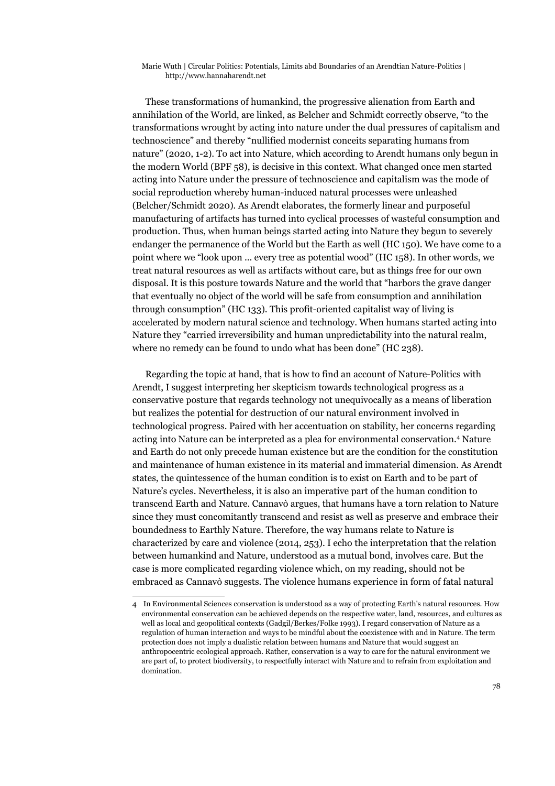These transformations of humankind, the progressive alienation from Earth and annihilation of the World, are linked, as Belcher and Schmidt correctly observe, "to the transformations wrought by acting into nature under the dual pressures of capitalism and technoscience" and thereby "nullified modernist conceits separating humans from nature" (2020, 1-2). To act into Nature, which according to Arendt humans only begun in the modern World (BPF 58), is decisive in this context. What changed once men started acting into Nature under the pressure of technoscience and capitalism was the mode of social reproduction whereby human-induced natural processes were unleashed (Belcher/Schmidt 2020). As Arendt elaborates, the formerly linear and purposeful manufacturing of artifacts has turned into cyclical processes of wasteful consumption and production. Thus, when human beings started acting into Nature they begun to severely endanger the permanence of the World but the Earth as well (HC 150). We have come to a point where we "look upon ... every tree as potential wood" (HC 158). In other words, we treat natural resources as well as artifacts without care, but as things free for our own disposal. It is this posture towards Nature and the world that "harbors the grave danger that eventually no object of the world will be safe from consumption and annihilation through consumption" (HC 133). This profit-oriented capitalist way of living is accelerated by modern natural science and technology. When humans started acting into Nature they "carried irreversibility and human unpredictability into the natural realm, where no remedy can be found to undo what has been done" (HC 238).

Regarding the topic at hand, that is how to find an account of Nature-Politics with Arendt, I suggest interpreting her skepticism towards technological progress as a conservative posture that regards technology not unequivocally as a means of liberation but realizes the potential for destruction of our natural environment involved in technological progress. Paired with her accentuation on stability, her concerns regarding acting into Nature can be interpreted as a plea for environmental conservation.[4](#page-5-0) Nature and Earth do not only precede human existence but are the condition for the constitution and maintenance of human existence in its material and immaterial dimension. As Arendt states, the quintessence of the human condition is to exist on Earth and to be part of Nature's cycles. Nevertheless, it is also an imperative part of the human condition to transcend Earth and Nature. Cannavò argues, that humans have a torn relation to Nature since they must concomitantly transcend and resist as well as preserve and embrace their boundedness to Earthly Nature. Therefore, the way humans relate to Nature is characterized by care and violence (2014, 253). I echo the interpretation that the relation between humankind and Nature, understood as a mutual bond, involves care. But the case is more complicated regarding violence which, on my reading, should not be embraced as Cannavò suggests. The violence humans experience in form of fatal natural

<span id="page-5-0"></span><sup>4</sup> In Environmental Sciences conservation is understood as a way of protecting Earth's natural resources. How environmental conservation can be achieved depends on the respective water, land, resources, and cultures as well as local and geopolitical contexts (Gadgil/Berkes/Folke 1993). I regard conservation of Nature as a regulation of human interaction and ways to be mindful about the coexistence with and in Nature. The term protection does not imply a dualistic relation between humans and Nature that would suggest an anthropocentric ecological approach. Rather, conservation is a way to care for the natural environment we are part of, to protect biodiversity, to respectfully interact with Nature and to refrain from exploitation and domination.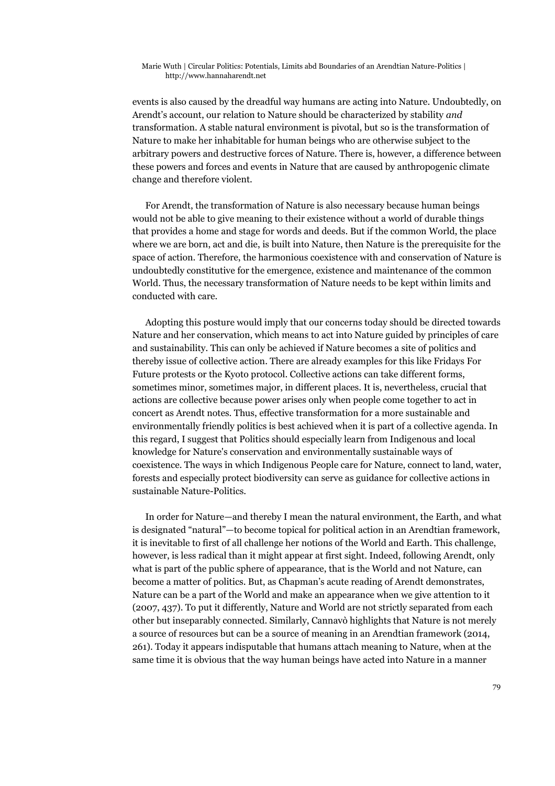events is also caused by the dreadful way humans are acting into Nature. Undoubtedly, on Arendt's account, our relation to Nature should be characterized by stability *and* transformation. A stable natural environment is pivotal, but so is the transformation of Nature to make her inhabitable for human beings who are otherwise subject to the arbitrary powers and destructive forces of Nature. There is, however, a difference between these powers and forces and events in Nature that are caused by anthropogenic climate change and therefore violent.

For Arendt, the transformation of Nature is also necessary because human beings would not be able to give meaning to their existence without a world of durable things that provides a home and stage for words and deeds. But if the common World, the place where we are born, act and die, is built into Nature, then Nature is the prerequisite for the space of action. Therefore, the harmonious coexistence with and conservation of Nature is undoubtedly constitutive for the emergence, existence and maintenance of the common World. Thus, the necessary transformation of Nature needs to be kept within limits and conducted with care.

Adopting this posture would imply that our concerns today should be directed towards Nature and her conservation, which means to act into Nature guided by principles of care and sustainability. This can only be achieved if Nature becomes a site of politics and thereby issue of collective action. There are already examples for this like Fridays For Future protests or the Kyoto protocol. Collective actions can take different forms, sometimes minor, sometimes major, in different places. It is, nevertheless, crucial that actions are collective because power arises only when people come together to act in concert as Arendt notes. Thus, effective transformation for a more sustainable and environmentally friendly politics is best achieved when it is part of a collective agenda. In this regard, I suggest that Politics should especially learn from Indigenous and local knowledge for Nature's conservation and environmentally sustainable ways of coexistence. The ways in which Indigenous People care for Nature, connect to land, water, forests and especially protect biodiversity can serve as guidance for collective actions in sustainable Nature-Politics.

In order for Nature—and thereby I mean the natural environment, the Earth, and what is designated "natural"—to become topical for political action in an Arendtian framework, it is inevitable to first of all challenge her notions of the World and Earth. This challenge, however, is less radical than it might appear at first sight. Indeed, following Arendt, only what is part of the public sphere of appearance, that is the World and not Nature, can become a matter of politics. But, as Chapman's acute reading of Arendt demonstrates, Nature can be a part of the World and make an appearance when we give attention to it (2007, 437). To put it differently, Nature and World are not strictly separated from each other but inseparably connected. Similarly, Cannavò highlights that Nature is not merely a source of resources but can be a source of meaning in an Arendtian framework (2014, 261). Today it appears indisputable that humans attach meaning to Nature, when at the same time it is obvious that the way human beings have acted into Nature in a manner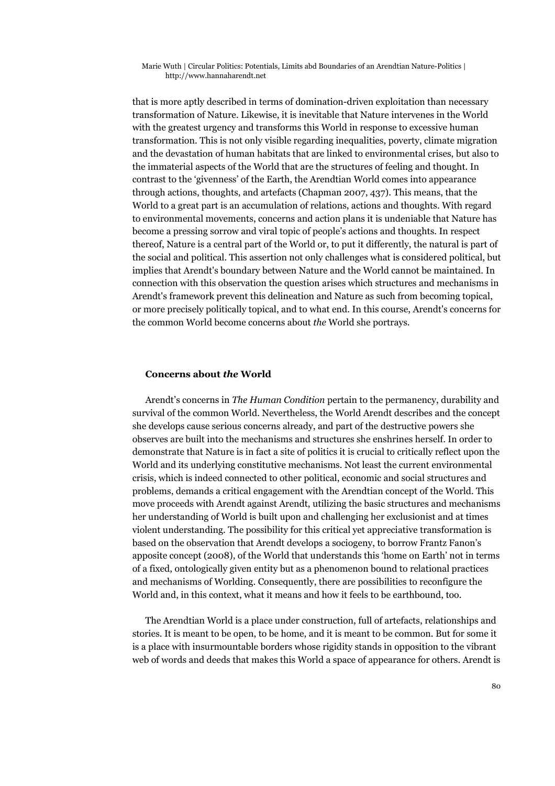that is more aptly described in terms of domination-driven exploitation than necessary transformation of Nature. Likewise, it is inevitable that Nature intervenes in the World with the greatest urgency and transforms this World in response to excessive human transformation. This is not only visible regarding inequalities, poverty, climate migration and the devastation of human habitats that are linked to environmental crises, but also to the immaterial aspects of the World that are the structures of feeling and thought. In contrast to the 'givenness' of the Earth, the Arendtian World comes into appearance through actions, thoughts, and artefacts (Chapman 2007, 437). This means, that the World to a great part is an accumulation of relations, actions and thoughts. With regard to environmental movements, concerns and action plans it is undeniable that Nature has become a pressing sorrow and viral topic of people's actions and thoughts. In respect thereof, Nature is a central part of the World or, to put it differently, the natural is part of the social and political. This assertion not only challenges what is considered political, but implies that Arendt's boundary between Nature and the World cannot be maintained. In connection with this observation the question arises which structures and mechanisms in Arendt's framework prevent this delineation and Nature as such from becoming topical, or more precisely politically topical, and to what end. In this course, Arendt's concerns for the common World become concerns about *the* World she portrays.

## **Concerns about** *the* **World**

Arendt's concerns in *The Human Condition* pertain to the permanency, durability and survival of the common World. Nevertheless, the World Arendt describes and the concept she develops cause serious concerns already, and part of the destructive powers she observes are built into the mechanisms and structures she enshrines herself. In order to demonstrate that Nature is in fact a site of politics it is crucial to critically reflect upon the World and its underlying constitutive mechanisms. Not least the current environmental crisis, which is indeed connected to other political, economic and social structures and problems, demands a critical engagement with the Arendtian concept of the World. This move proceeds with Arendt against Arendt, utilizing the basic structures and mechanisms her understanding of World is built upon and challenging her exclusionist and at times violent understanding. The possibility for this critical yet appreciative transformation is based on the observation that Arendt develops a sociogeny, to borrow Frantz Fanon's apposite concept (2008), of the World that understands this 'home on Earth' not in terms of a fixed, ontologically given entity but as a phenomenon bound to relational practices and mechanisms of Worlding. Consequently, there are possibilities to reconfigure the World and, in this context, what it means and how it feels to be earthbound, too.

The Arendtian World is a place under construction, full of artefacts, relationships and stories. It is meant to be open, to be home, and it is meant to be common. But for some it is a place with insurmountable borders whose rigidity stands in opposition to the vibrant web of words and deeds that makes this World a space of appearance for others. Arendt is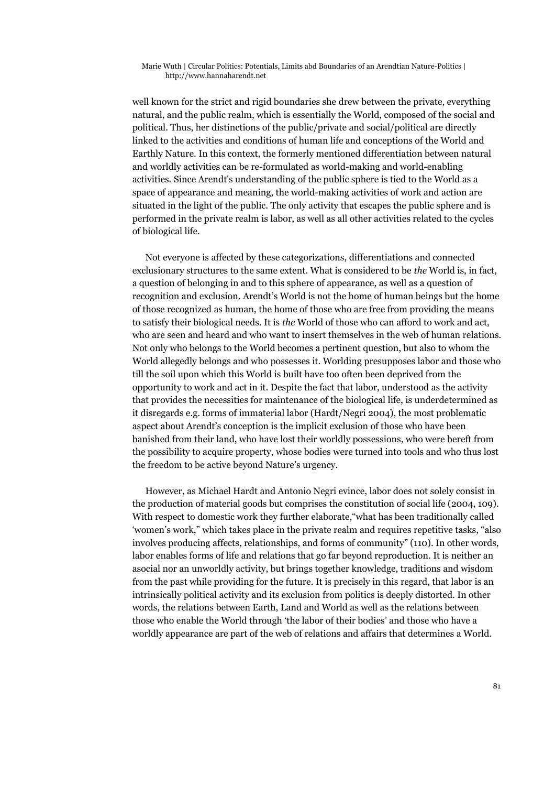well known for the strict and rigid boundaries she drew between the private, everything natural, and the public realm, which is essentially the World, composed of the social and political. Thus, her distinctions of the public/private and social/political are directly linked to the activities and conditions of human life and conceptions of the World and Earthly Nature. In this context, the formerly mentioned differentiation between natural and worldly activities can be re-formulated as world-making and world-enabling activities. Since Arendt's understanding of the public sphere is tied to the World as a space of appearance and meaning, the world-making activities of work and action are situated in the light of the public. The only activity that escapes the public sphere and is performed in the private realm is labor, as well as all other activities related to the cycles of biological life.

Not everyone is affected by these categorizations, differentiations and connected exclusionary structures to the same extent. What is considered to be *the* World is, in fact, a question of belonging in and to this sphere of appearance, as well as a question of recognition and exclusion. Arendt's World is not the home of human beings but the home of those recognized as human, the home of those who are free from providing the means to satisfy their biological needs. It is *the* World of those who can afford to work and act, who are seen and heard and who want to insert themselves in the web of human relations. Not only who belongs to the World becomes a pertinent question, but also to whom the World allegedly belongs and who possesses it. Worlding presupposes labor and those who till the soil upon which this World is built have too often been deprived from the opportunity to work and act in it. Despite the fact that labor, understood as the activity that provides the necessities for maintenance of the biological life, is underdetermined as it disregards e.g. forms of immaterial labor (Hardt/Negri 2004), the most problematic aspect about Arendt's conception is the implicit exclusion of those who have been banished from their land, who have lost their worldly possessions, who were bereft from the possibility to acquire property, whose bodies were turned into tools and who thus lost the freedom to be active beyond Nature's urgency.

However, as Michael Hardt and Antonio Negri evince, labor does not solely consist in the production of material goods but comprises the constitution of social life (2004, 109). With respect to domestic work they further elaborate,"what has been traditionally called 'women's work," which takes place in the private realm and requires repetitive tasks, "also involves producing affects, relationships, and forms of community" (110). In other words, labor enables forms of life and relations that go far beyond reproduction. It is neither an asocial nor an unworldly activity, but brings together knowledge, traditions and wisdom from the past while providing for the future. It is precisely in this regard, that labor is an intrinsically political activity and its exclusion from politics is deeply distorted. In other words, the relations between Earth, Land and World as well as the relations between those who enable the World through 'the labor of their bodies' and those who have a worldly appearance are part of the web of relations and affairs that determines a World.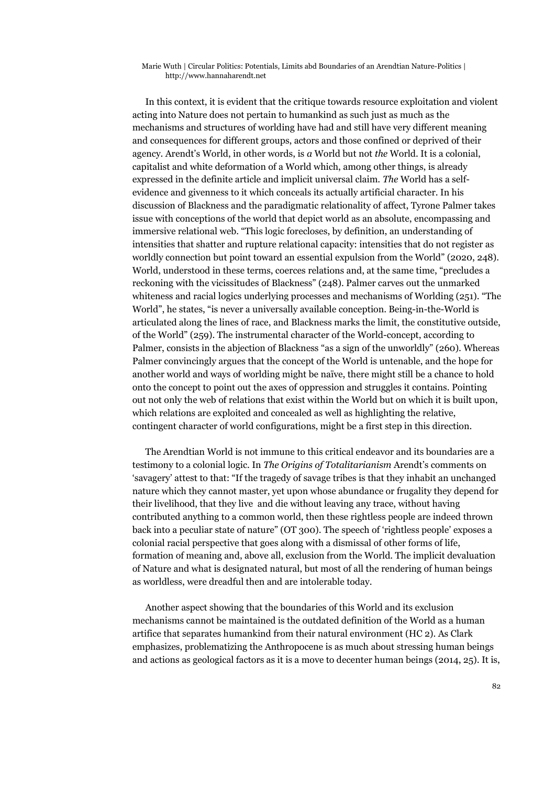In this context, it is evident that the critique towards resource exploitation and violent acting into Nature does not pertain to humankind as such just as much as the mechanisms and structures of worlding have had and still have very different meaning and consequences for different groups, actors and those confined or deprived of their agency. Arendt's World, in other words, is *a* World but not *the* World. It is a colonial, capitalist and white deformation of a World which, among other things, is already expressed in the definite article and implicit universal claim. *The* World has a selfevidence and givenness to it which conceals its actually artificial character. In his discussion of Blackness and the paradigmatic relationality of affect, Tyrone Palmer takes issue with conceptions of the world that depict world as an absolute, encompassing and immersive relational web. "This logic forecloses, by definition, an understanding of intensities that shatter and rupture relational capacity: intensities that do not register as worldly connection but point toward an essential expulsion from the World" (2020, 248). World, understood in these terms, coerces relations and, at the same time, "precludes a reckoning with the vicissitudes of Blackness" (248). Palmer carves out the unmarked whiteness and racial logics underlying processes and mechanisms of Worlding (251). "The World", he states, "is never a universally available conception. Being-in-the-World is articulated along the lines of race, and Blackness marks the limit, the constitutive outside, of the World" (259). The instrumental character of the World-concept, according to Palmer, consists in the abjection of Blackness "as a sign of the unworldly" (260). Whereas Palmer convincingly argues that the concept of the World is untenable, and the hope for another world and ways of worlding might be naïve, there might still be a chance to hold onto the concept to point out the axes of oppression and struggles it contains. Pointing out not only the web of relations that exist within the World but on which it is built upon, which relations are exploited and concealed as well as highlighting the relative, contingent character of world configurations, might be a first step in this direction.

The Arendtian World is not immune to this critical endeavor and its boundaries are a testimony to a colonial logic. In *The Origins of Totalitarianism* Arendt's comments on 'savagery' attest to that: "If the tragedy of savage tribes is that they inhabit an unchanged nature which they cannot master, yet upon whose abundance or frugality they depend for their livelihood, that they live and die without leaving any trace, without having contributed anything to a common world, then these rightless people are indeed thrown back into a peculiar state of nature" (OT 300). The speech of 'rightless people' exposes a colonial racial perspective that goes along with a dismissal of other forms of life, formation of meaning and, above all, exclusion from the World. The implicit devaluation of Nature and what is designated natural, but most of all the rendering of human beings as worldless, were dreadful then and are intolerable today.

Another aspect showing that the boundaries of this World and its exclusion mechanisms cannot be maintained is the outdated definition of the World as a human artifice that separates humankind from their natural environment (HC 2). As Clark emphasizes, problematizing the Anthropocene is as much about stressing human beings and actions as geological factors as it is a move to decenter human beings (2014, 25). It is,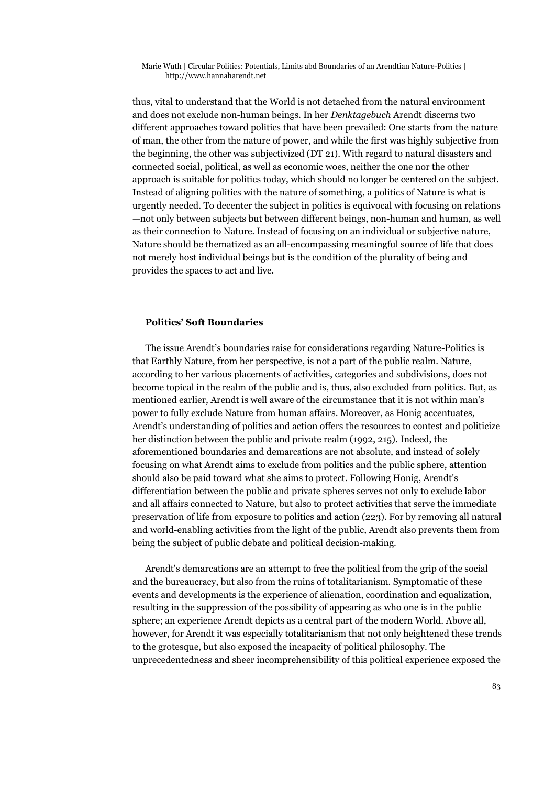thus, vital to understand that the World is not detached from the natural environment and does not exclude non-human beings. In her *Denktagebuch* Arendt discerns two different approaches toward politics that have been prevailed: One starts from the nature of man, the other from the nature of power, and while the first was highly subjective from the beginning, the other was subjectivized (DT 21). With regard to natural disasters and connected social, political, as well as economic woes, neither the one nor the other approach is suitable for politics today, which should no longer be centered on the subject. Instead of aligning politics with the nature of something, a politics of Nature is what is urgently needed. To decenter the subject in politics is equivocal with focusing on relations —not only between subjects but between different beings, non-human and human, as well as their connection to Nature. Instead of focusing on an individual or subjective nature, Nature should be thematized as an all-encompassing meaningful source of life that does not merely host individual beings but is the condition of the plurality of being and provides the spaces to act and live.

# **Politics' Soft Boundaries**

The issue Arendt's boundaries raise for considerations regarding Nature-Politics is that Earthly Nature, from her perspective, is not a part of the public realm. Nature, according to her various placements of activities, categories and subdivisions, does not become topical in the realm of the public and is, thus, also excluded from politics. But, as mentioned earlier, Arendt is well aware of the circumstance that it is not within man's power to fully exclude Nature from human affairs. Moreover, as Honig accentuates, Arendt's understanding of politics and action offers the resources to contest and politicize her distinction between the public and private realm (1992, 215). Indeed, the aforementioned boundaries and demarcations are not absolute, and instead of solely focusing on what Arendt aims to exclude from politics and the public sphere, attention should also be paid toward what she aims to protect. Following Honig, Arendt's differentiation between the public and private spheres serves not only to exclude labor and all affairs connected to Nature, but also to protect activities that serve the immediate preservation of life from exposure to politics and action (223). For by removing all natural and world-enabling activities from the light of the public, Arendt also prevents them from being the subject of public debate and political decision-making.

Arendt's demarcations are an attempt to free the political from the grip of the social and the bureaucracy, but also from the ruins of totalitarianism. Symptomatic of these events and developments is the experience of alienation, coordination and equalization, resulting in the suppression of the possibility of appearing as who one is in the public sphere; an experience Arendt depicts as a central part of the modern World. Above all, however, for Arendt it was especially totalitarianism that not only heightened these trends to the grotesque, but also exposed the incapacity of political philosophy. The unprecedentedness and sheer incomprehensibility of this political experience exposed the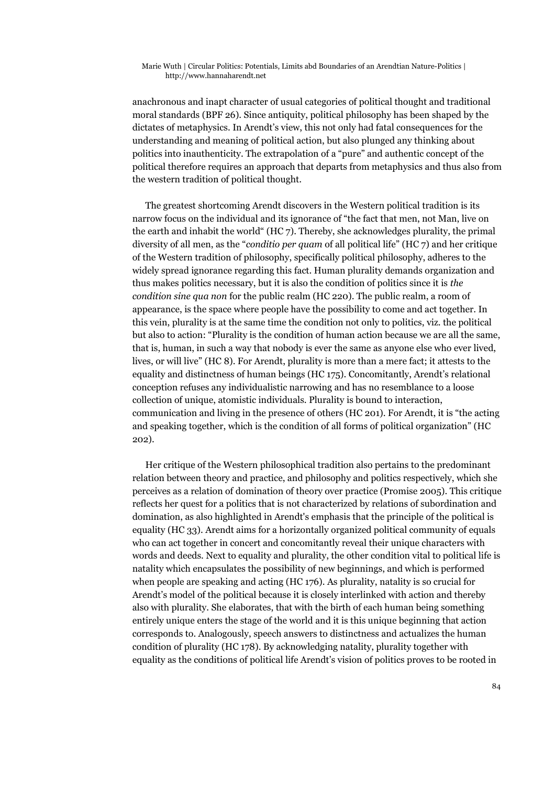anachronous and inapt character of usual categories of political thought and traditional moral standards (BPF 26). Since antiquity, political philosophy has been shaped by the dictates of metaphysics. In Arendt's view, this not only had fatal consequences for the understanding and meaning of political action, but also plunged any thinking about politics into inauthenticity. The extrapolation of a "pure" and authentic concept of the political therefore requires an approach that departs from metaphysics and thus also from the western tradition of political thought.

The greatest shortcoming Arendt discovers in the Western political tradition is its narrow focus on the individual and its ignorance of "the fact that men, not Man, live on the earth and inhabit the world" (HC 7). Thereby, she acknowledges plurality, the primal diversity of all men, as the "*conditio per quam* of all political life" (HC 7) and her critique of the Western tradition of philosophy, specifically political philosophy, adheres to the widely spread ignorance regarding this fact. Human plurality demands organization and thus makes politics necessary, but it is also the condition of politics since it is *the condition sine qua non* for the public realm (HC 220). The public realm, a room of appearance, is the space where people have the possibility to come and act together. In this vein, plurality is at the same time the condition not only to politics, viz. the political but also to action: "Plurality is the condition of human action because we are all the same, that is, human, in such a way that nobody is ever the same as anyone else who ever lived, lives, or will live" (HC 8). For Arendt, plurality is more than a mere fact; it attests to the equality and distinctness of human beings (HC 175). Concomitantly, Arendt's relational conception refuses any individualistic narrowing and has no resemblance to a loose collection of unique, atomistic individuals. Plurality is bound to interaction, communication and living in the presence of others (HC 201). For Arendt, it is "the acting and speaking together, which is the condition of all forms of political organization" (HC 202).

Her critique of the Western philosophical tradition also pertains to the predominant relation between theory and practice, and philosophy and politics respectively, which she perceives as a relation of domination of theory over practice (Promise 2005). This critique reflects her quest for a politics that is not characterized by relations of subordination and domination, as also highlighted in Arendt's emphasis that the principle of the political is equality (HC 33). Arendt aims for a horizontally organized political community of equals who can act together in concert and concomitantly reveal their unique characters with words and deeds. Next to equality and plurality, the other condition vital to political life is natality which encapsulates the possibility of new beginnings, and which is performed when people are speaking and acting (HC 176). As plurality, natality is so crucial for Arendt's model of the political because it is closely interlinked with action and thereby also with plurality. She elaborates, that with the birth of each human being something entirely unique enters the stage of the world and it is this unique beginning that action corresponds to. Analogously, speech answers to distinctness and actualizes the human condition of plurality (HC 178). By acknowledging natality, plurality together with equality as the conditions of political life Arendt's vision of politics proves to be rooted in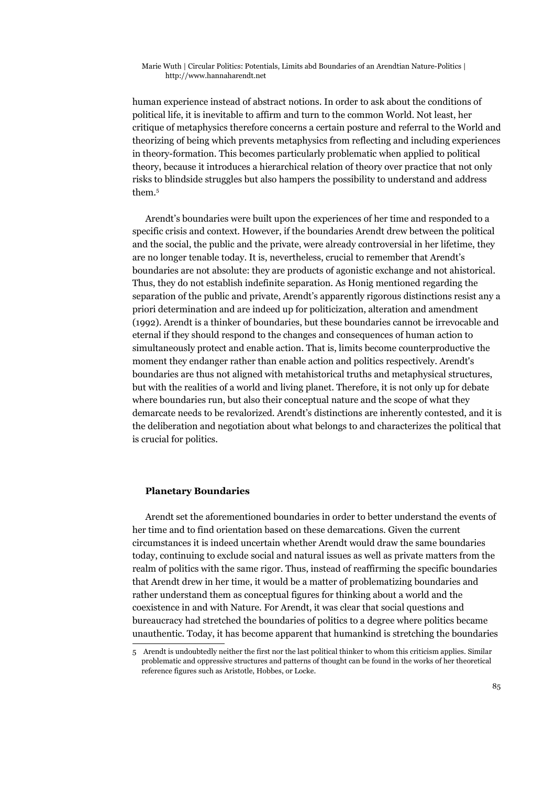human experience instead of abstract notions. In order to ask about the conditions of political life, it is inevitable to affirm and turn to the common World. Not least, her critique of metaphysics therefore concerns a certain posture and referral to the World and theorizing of being which prevents metaphysics from reflecting and including experiences in theory-formation. This becomes particularly problematic when applied to political theory, because it introduces a hierarchical relation of theory over practice that not only risks to blindside struggles but also hampers the possibility to understand and address them.[5](#page-12-0)

Arendt's boundaries were built upon the experiences of her time and responded to a specific crisis and context. However, if the boundaries Arendt drew between the political and the social, the public and the private, were already controversial in her lifetime, they are no longer tenable today. It is, nevertheless, crucial to remember that Arendt's boundaries are not absolute: they are products of agonistic exchange and not ahistorical. Thus, they do not establish indefinite separation. As Honig mentioned regarding the separation of the public and private, Arendt's apparently rigorous distinctions resist any a priori determination and are indeed up for politicization, alteration and amendment (1992). Arendt is a thinker of boundaries, but these boundaries cannot be irrevocable and eternal if they should respond to the changes and consequences of human action to simultaneously protect and enable action. That is, limits become counterproductive the moment they endanger rather than enable action and politics respectively. Arendt's boundaries are thus not aligned with metahistorical truths and metaphysical structures, but with the realities of a world and living planet. Therefore, it is not only up for debate where boundaries run, but also their conceptual nature and the scope of what they demarcate needs to be revalorized. Arendt's distinctions are inherently contested, and it is the deliberation and negotiation about what belongs to and characterizes the political that is crucial for politics.

# **Planetary Boundaries**

Arendt set the aforementioned boundaries in order to better understand the events of her time and to find orientation based on these demarcations. Given the current circumstances it is indeed uncertain whether Arendt would draw the same boundaries today, continuing to exclude social and natural issues as well as private matters from the realm of politics with the same rigor. Thus, instead of reaffirming the specific boundaries that Arendt drew in her time, it would be a matter of problematizing boundaries and rather understand them as conceptual figures for thinking about a world and the coexistence in and with Nature. For Arendt, it was clear that social questions and bureaucracy had stretched the boundaries of politics to a degree where politics became unauthentic. Today, it has become apparent that humankind is stretching the boundaries

<span id="page-12-0"></span><sup>5</sup> Arendt is undoubtedly neither the first nor the last political thinker to whom this criticism applies. Similar problematic and oppressive structures and patterns of thought can be found in the works of her theoretical reference figures such as Aristotle, Hobbes, or Locke.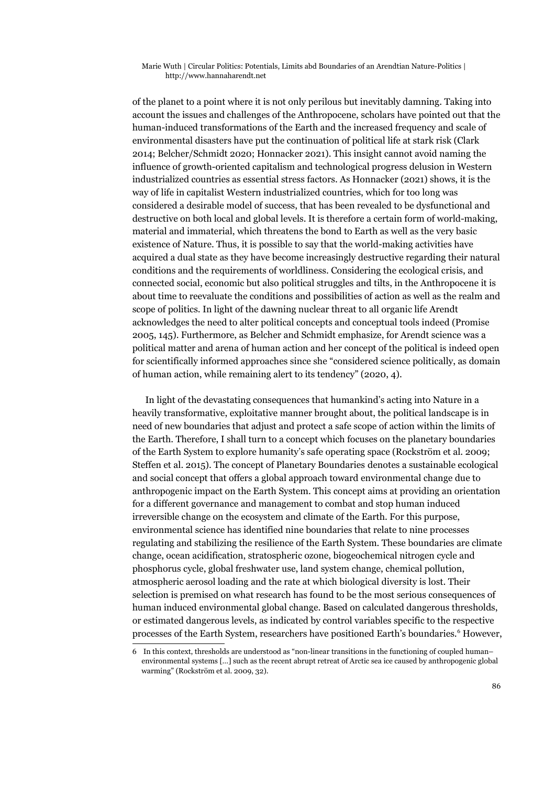of the planet to a point where it is not only perilous but inevitably damning. Taking into account the issues and challenges of the Anthropocene, scholars have pointed out that the human-induced transformations of the Earth and the increased frequency and scale of environmental disasters have put the continuation of political life at stark risk (Clark 2014; Belcher/Schmidt 2020; Honnacker 2021). This insight cannot avoid naming the influence of growth-oriented capitalism and technological progress delusion in Western industrialized countries as essential stress factors. As Honnacker (2021) shows, it is the way of life in capitalist Western industrialized countries, which for too long was considered a desirable model of success, that has been revealed to be dysfunctional and destructive on both local and global levels. It is therefore a certain form of world-making, material and immaterial, which threatens the bond to Earth as well as the very basic existence of Nature. Thus, it is possible to say that the world-making activities have acquired a dual state as they have become increasingly destructive regarding their natural conditions and the requirements of worldliness. Considering the ecological crisis, and connected social, economic but also political struggles and tilts, in the Anthropocene it is about time to reevaluate the conditions and possibilities of action as well as the realm and scope of politics. In light of the dawning nuclear threat to all organic life Arendt acknowledges the need to alter political concepts and conceptual tools indeed (Promise 2005, 145). Furthermore, as Belcher and Schmidt emphasize, for Arendt science was a political matter and arena of human action and her concept of the political is indeed open for scientifically informed approaches since she "considered science politically, as domain of human action, while remaining alert to its tendency" (2020, 4).

In light of the devastating consequences that humankind's acting into Nature in a heavily transformative, exploitative manner brought about, the political landscape is in need of new boundaries that adjust and protect a safe scope of action within the limits of the Earth. Therefore, I shall turn to a concept which focuses on the planetary boundaries of the Earth System to explore humanity's safe operating space (Rockström et al. 2009; Steffen et al. 2015). The concept of Planetary Boundaries denotes a sustainable ecological and social concept that offers a global approach toward environmental change due to anthropogenic impact on the Earth System. This concept aims at providing an orientation for a different governance and management to combat and stop human induced irreversible change on the ecosystem and climate of the Earth. For this purpose, environmental science has identified nine boundaries that relate to nine processes regulating and stabilizing the resilience of the Earth System. These boundaries are climate change, ocean acidification, stratospheric ozone, biogeochemical nitrogen cycle and phosphorus cycle, global freshwater use, land system change, chemical pollution, atmospheric aerosol loading and the rate at which biological diversity is lost. Their selection is premised on what research has found to be the most serious consequences of human induced environmental global change. Based on calculated dangerous thresholds, or estimated dangerous levels, as indicated by control variables specific to the respective processes of the Earth System, researchers have positioned Earth's boundaries.<sup>[6](#page-13-0)</sup> However,

<span id="page-13-0"></span><sup>6</sup> In this context, thresholds are understood as "non-linear transitions in the functioning of coupled human– environmental systems […] such as the recent abrupt retreat of Arctic sea ice caused by anthropogenic global warming" (Rockström et al. 2009, 32).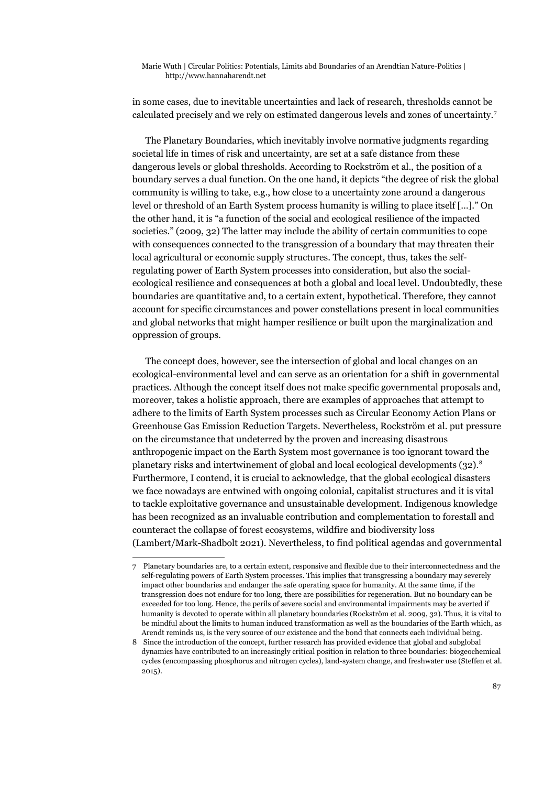in some cases, due to inevitable uncertainties and lack of research, thresholds cannot be calculated precisely and we rely on estimated dangerous levels and zones of uncertainty.[7](#page-14-0)

The Planetary Boundaries, which inevitably involve normative judgments regarding societal life in times of risk and uncertainty, are set at a safe distance from these dangerous levels or global thresholds. According to Rockström et al., the position of a boundary serves a dual function. On the one hand, it depicts "the degree of risk the global community is willing to take, e.g., how close to a uncertainty zone around a dangerous level or threshold of an Earth System process humanity is willing to place itself […]." On the other hand, it is "a function of the social and ecological resilience of the impacted societies." (2009, 32) The latter may include the ability of certain communities to cope with consequences connected to the transgression of a boundary that may threaten their local agricultural or economic supply structures. The concept, thus, takes the selfregulating power of Earth System processes into consideration, but also the socialecological resilience and consequences at both a global and local level. Undoubtedly, these boundaries are quantitative and, to a certain extent, hypothetical. Therefore, they cannot account for specific circumstances and power constellations present in local communities and global networks that might hamper resilience or built upon the marginalization and oppression of groups.

The concept does, however, see the intersection of global and local changes on an ecological-environmental level and can serve as an orientation for a shift in governmental practices. Although the concept itself does not make specific governmental proposals and, moreover, takes a holistic approach, there are examples of approaches that attempt to adhere to the limits of Earth System processes such as Circular Economy Action Plans or Greenhouse Gas Emission Reduction Targets. Nevertheless, Rockström et al. put pressure on the circumstance that undeterred by the proven and increasing disastrous anthropogenic impact on the Earth System most governance is too ignorant toward the planetary risks and intertwinement of global and local ecological developments (32).[8](#page-14-1) Furthermore, I contend, it is crucial to acknowledge, that the global ecological disasters we face nowadays are entwined with ongoing colonial, capitalist structures and it is vital to tackle exploitative governance and unsustainable development. Indigenous knowledge has been recognized as an invaluable contribution and complementation to forestall and counteract the collapse of forest ecosystems, wildfire and biodiversity loss (Lambert/Mark-Shadbolt 2021). Nevertheless, to find political agendas and governmental

<span id="page-14-0"></span><sup>7</sup> Planetary boundaries are, to a certain extent, responsive and flexible due to their interconnectedness and the self-regulating powers of Earth System processes. This implies that transgressing a boundary may severely impact other boundaries and endanger the safe operating space for humanity. At the same time, if the transgression does not endure for too long, there are possibilities for regeneration. But no boundary can be exceeded for too long. Hence, the perils of severe social and environmental impairments may be averted if humanity is devoted to operate within all planetary boundaries (Rockström et al. 2009, 32). Thus, it is vital to be mindful about the limits to human induced transformation as well as the boundaries of the Earth which, as Arendt reminds us, is the very source of our existence and the bond that connects each individual being.

<span id="page-14-1"></span><sup>8</sup> Since the introduction of the concept, further research has provided evidence that global and subglobal dynamics have contributed to an increasingly critical position in relation to three boundaries: biogeochemical cycles (encompassing phosphorus and nitrogen cycles), land-system change, and freshwater use (Steffen et al. 2015).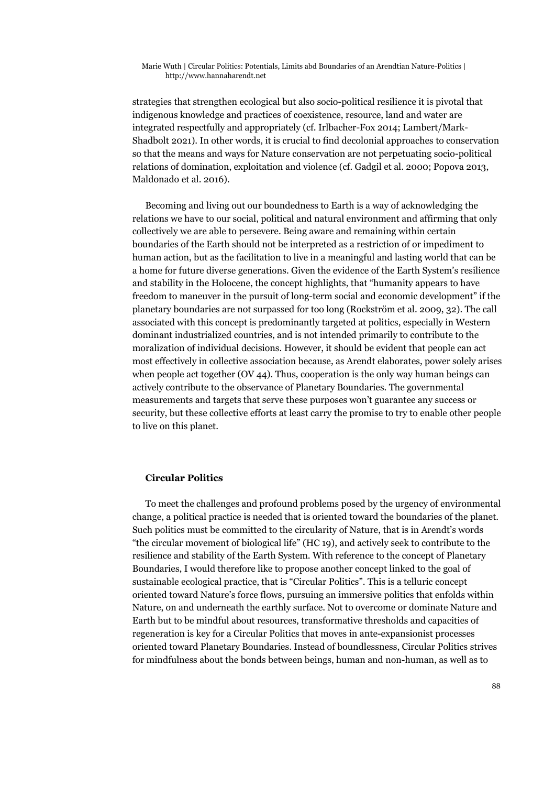strategies that strengthen ecological but also socio-political resilience it is pivotal that indigenous knowledge and practices of coexistence, resource, land and water are integrated respectfully and appropriately (cf. Irlbacher-Fox 2014; Lambert/Mark-Shadbolt 2021). In other words, it is crucial to find decolonial approaches to conservation so that the means and ways for Nature conservation are not perpetuating socio-political relations of domination, exploitation and violence (cf. Gadgil et al. 2000; Popova 2013, Maldonado et al. 2016).

Becoming and living out our boundedness to Earth is a way of acknowledging the relations we have to our social, political and natural environment and affirming that only collectively we are able to persevere. Being aware and remaining within certain boundaries of the Earth should not be interpreted as a restriction of or impediment to human action, but as the facilitation to live in a meaningful and lasting world that can be a home for future diverse generations. Given the evidence of the Earth System's resilience and stability in the Holocene, the concept highlights, that "humanity appears to have freedom to maneuver in the pursuit of long-term social and economic development" if the planetary boundaries are not surpassed for too long (Rockström et al. 2009, 32). The call associated with this concept is predominantly targeted at politics, especially in Western dominant industrialized countries, and is not intended primarily to contribute to the moralization of individual decisions. However, it should be evident that people can act most effectively in collective association because, as Arendt elaborates, power solely arises when people act together (OV 44). Thus, cooperation is the only way human beings can actively contribute to the observance of Planetary Boundaries. The governmental measurements and targets that serve these purposes won't guarantee any success or security, but these collective efforts at least carry the promise to try to enable other people to live on this planet.

# **Circular Politics**

To meet the challenges and profound problems posed by the urgency of environmental change, a political practice is needed that is oriented toward the boundaries of the planet. Such politics must be committed to the circularity of Nature, that is in Arendt's words "the circular movement of biological life" (HC 19), and actively seek to contribute to the resilience and stability of the Earth System. With reference to the concept of Planetary Boundaries, I would therefore like to propose another concept linked to the goal of sustainable ecological practice, that is "Circular Politics". This is a telluric concept oriented toward Nature's force flows, pursuing an immersive politics that enfolds within Nature, on and underneath the earthly surface. Not to overcome or dominate Nature and Earth but to be mindful about resources, transformative thresholds and capacities of regeneration is key for a Circular Politics that moves in ante-expansionist processes oriented toward Planetary Boundaries. Instead of boundlessness, Circular Politics strives for mindfulness about the bonds between beings, human and non-human, as well as to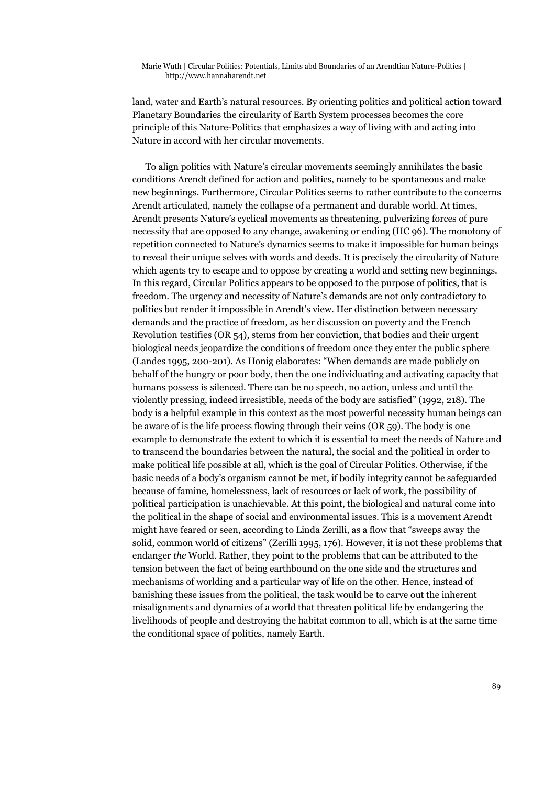land, water and Earth's natural resources. By orienting politics and political action toward Planetary Boundaries the circularity of Earth System processes becomes the core principle of this Nature-Politics that emphasizes a way of living with and acting into Nature in accord with her circular movements.

To align politics with Nature's circular movements seemingly annihilates the basic conditions Arendt defined for action and politics, namely to be spontaneous and make new beginnings. Furthermore, Circular Politics seems to rather contribute to the concerns Arendt articulated, namely the collapse of a permanent and durable world. At times, Arendt presents Nature's cyclical movements as threatening, pulverizing forces of pure necessity that are opposed to any change, awakening or ending (HC 96). The monotony of repetition connected to Nature's dynamics seems to make it impossible for human beings to reveal their unique selves with words and deeds. It is precisely the circularity of Nature which agents try to escape and to oppose by creating a world and setting new beginnings. In this regard, Circular Politics appears to be opposed to the purpose of politics, that is freedom. The urgency and necessity of Nature's demands are not only contradictory to politics but render it impossible in Arendt's view. Her distinction between necessary demands and the practice of freedom, as her discussion on poverty and the French Revolution testifies (OR 54), stems from her conviction, that bodies and their urgent biological needs jeopardize the conditions of freedom once they enter the public sphere (Landes 1995, 200-201). As Honig elaborates: "When demands are made publicly on behalf of the hungry or poor body, then the one individuating and activating capacity that humans possess is silenced. There can be no speech, no action, unless and until the violently pressing, indeed irresistible, needs of the body are satisfied" (1992, 218). The body is a helpful example in this context as the most powerful necessity human beings can be aware of is the life process flowing through their veins (OR 59). The body is one example to demonstrate the extent to which it is essential to meet the needs of Nature and to transcend the boundaries between the natural, the social and the political in order to make political life possible at all, which is the goal of Circular Politics. Otherwise, if the basic needs of a body's organism cannot be met, if bodily integrity cannot be safeguarded because of famine, homelessness, lack of resources or lack of work, the possibility of political participation is unachievable. At this point, the biological and natural come into the political in the shape of social and environmental issues. This is a movement Arendt might have feared or seen, according to Linda Zerilli, as a flow that "sweeps away the solid, common world of citizens" (Zerilli 1995, 176). However, it is not these problems that endanger *the* World. Rather, they point to the problems that can be attributed to the tension between the fact of being earthbound on the one side and the structures and mechanisms of worlding and a particular way of life on the other. Hence, instead of banishing these issues from the political, the task would be to carve out the inherent misalignments and dynamics of a world that threaten political life by endangering the livelihoods of people and destroying the habitat common to all, which is at the same time the conditional space of politics, namely Earth.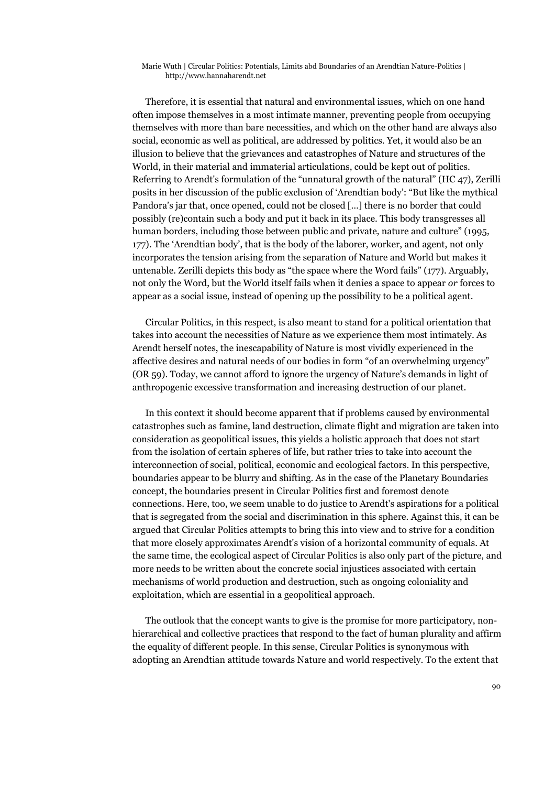Therefore, it is essential that natural and environmental issues, which on one hand often impose themselves in a most intimate manner, preventing people from occupying themselves with more than bare necessities, and which on the other hand are always also social, economic as well as political, are addressed by politics. Yet, it would also be an illusion to believe that the grievances and catastrophes of Nature and structures of the World, in their material and immaterial articulations, could be kept out of politics. Referring to Arendt's formulation of the "unnatural growth of the natural" (HC 47), Zerilli posits in her discussion of the public exclusion of 'Arendtian body': "But like the mythical Pandora's jar that, once opened, could not be closed […] there is no border that could possibly (re)contain such a body and put it back in its place. This body transgresses all human borders, including those between public and private, nature and culture" (1995, 177). The 'Arendtian body', that is the body of the laborer, worker, and agent, not only incorporates the tension arising from the separation of Nature and World but makes it untenable. Zerilli depicts this body as "the space where the Word fails" (177). Arguably, not only the Word, but the World itself fails when it denies a space to appear *or* forces to appear as a social issue, instead of opening up the possibility to be a political agent.

Circular Politics, in this respect, is also meant to stand for a political orientation that takes into account the necessities of Nature as we experience them most intimately. As Arendt herself notes, the inescapability of Nature is most vividly experienced in the affective desires and natural needs of our bodies in form "of an overwhelming urgency" (OR 59). Today, we cannot afford to ignore the urgency of Nature's demands in light of anthropogenic excessive transformation and increasing destruction of our planet.

In this context it should become apparent that if problems caused by environmental catastrophes such as famine, land destruction, climate flight and migration are taken into consideration as geopolitical issues, this yields a holistic approach that does not start from the isolation of certain spheres of life, but rather tries to take into account the interconnection of social, political, economic and ecological factors. In this perspective, boundaries appear to be blurry and shifting. As in the case of the Planetary Boundaries concept, the boundaries present in Circular Politics first and foremost denote connections. Here, too, we seem unable to do justice to Arendt's aspirations for a political that is segregated from the social and discrimination in this sphere. Against this, it can be argued that Circular Politics attempts to bring this into view and to strive for a condition that more closely approximates Arendt's vision of a horizontal community of equals. At the same time, the ecological aspect of Circular Politics is also only part of the picture, and more needs to be written about the concrete social injustices associated with certain mechanisms of world production and destruction, such as ongoing coloniality and exploitation, which are essential in a geopolitical approach.

The outlook that the concept wants to give is the promise for more participatory, nonhierarchical and collective practices that respond to the fact of human plurality and affirm the equality of different people. In this sense, Circular Politics is synonymous with adopting an Arendtian attitude towards Nature and world respectively. To the extent that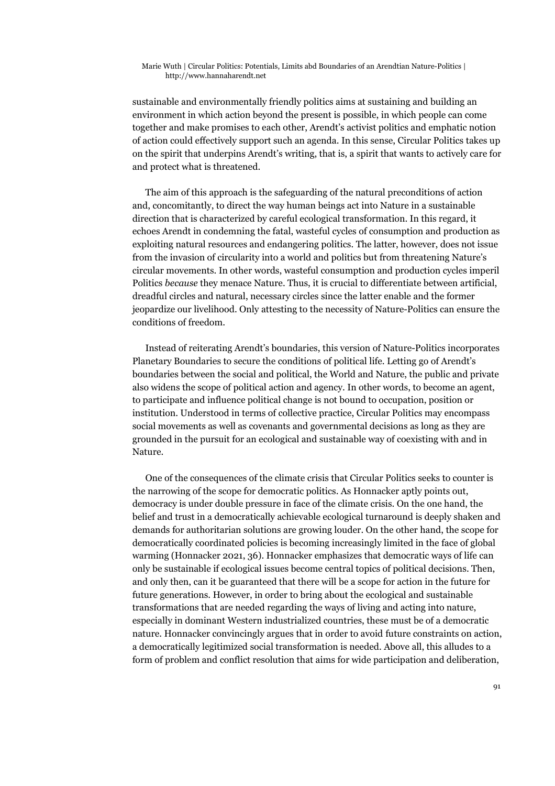sustainable and environmentally friendly politics aims at sustaining and building an environment in which action beyond the present is possible, in which people can come together and make promises to each other, Arendt's activist politics and emphatic notion of action could effectively support such an agenda. In this sense, Circular Politics takes up on the spirit that underpins Arendt's writing, that is, a spirit that wants to actively care for and protect what is threatened.

The aim of this approach is the safeguarding of the natural preconditions of action and, concomitantly, to direct the way human beings act into Nature in a sustainable direction that is characterized by careful ecological transformation. In this regard, it echoes Arendt in condemning the fatal, wasteful cycles of consumption and production as exploiting natural resources and endangering politics. The latter, however, does not issue from the invasion of circularity into a world and politics but from threatening Nature's circular movements. In other words, wasteful consumption and production cycles imperil Politics *because* they menace Nature. Thus, it is crucial to differentiate between artificial, dreadful circles and natural, necessary circles since the latter enable and the former jeopardize our livelihood. Only attesting to the necessity of Nature-Politics can ensure the conditions of freedom.

Instead of reiterating Arendt's boundaries, this version of Nature-Politics incorporates Planetary Boundaries to secure the conditions of political life. Letting go of Arendt's boundaries between the social and political, the World and Nature, the public and private also widens the scope of political action and agency. In other words, to become an agent, to participate and influence political change is not bound to occupation, position or institution. Understood in terms of collective practice, Circular Politics may encompass social movements as well as covenants and governmental decisions as long as they are grounded in the pursuit for an ecological and sustainable way of coexisting with and in Nature.

One of the consequences of the climate crisis that Circular Politics seeks to counter is the narrowing of the scope for democratic politics. As Honnacker aptly points out, democracy is under double pressure in face of the climate crisis. On the one hand, the belief and trust in a democratically achievable ecological turnaround is deeply shaken and demands for authoritarian solutions are growing louder. On the other hand, the scope for democratically coordinated policies is becoming increasingly limited in the face of global warming (Honnacker 2021, 36). Honnacker emphasizes that democratic ways of life can only be sustainable if ecological issues become central topics of political decisions. Then, and only then, can it be guaranteed that there will be a scope for action in the future for future generations. However, in order to bring about the ecological and sustainable transformations that are needed regarding the ways of living and acting into nature, especially in dominant Western industrialized countries, these must be of a democratic nature. Honnacker convincingly argues that in order to avoid future constraints on action, a democratically legitimized social transformation is needed. Above all, this alludes to a form of problem and conflict resolution that aims for wide participation and deliberation,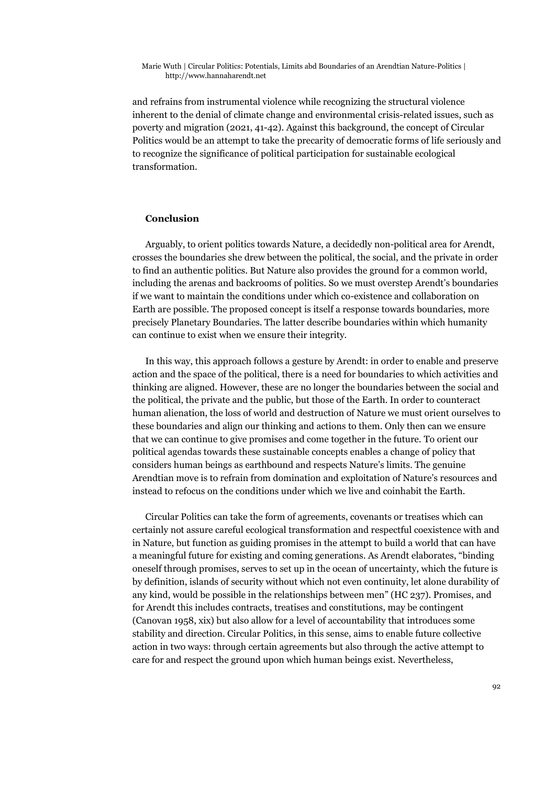and refrains from instrumental violence while recognizing the structural violence inherent to the denial of climate change and environmental crisis-related issues, such as poverty and migration (2021, 41-42). Against this background, the concept of Circular Politics would be an attempt to take the precarity of democratic forms of life seriously and to recognize the significance of political participation for sustainable ecological transformation.

# **Conclusion**

Arguably, to orient politics towards Nature, a decidedly non-political area for Arendt, crosses the boundaries she drew between the political, the social, and the private in order to find an authentic politics. But Nature also provides the ground for a common world, including the arenas and backrooms of politics. So we must overstep Arendt's boundaries if we want to maintain the conditions under which co-existence and collaboration on Earth are possible. The proposed concept is itself a response towards boundaries, more precisely Planetary Boundaries. The latter describe boundaries within which humanity can continue to exist when we ensure their integrity.

In this way, this approach follows a gesture by Arendt: in order to enable and preserve action and the space of the political, there is a need for boundaries to which activities and thinking are aligned. However, these are no longer the boundaries between the social and the political, the private and the public, but those of the Earth. In order to counteract human alienation, the loss of world and destruction of Nature we must orient ourselves to these boundaries and align our thinking and actions to them. Only then can we ensure that we can continue to give promises and come together in the future. To orient our political agendas towards these sustainable concepts enables a change of policy that considers human beings as earthbound and respects Nature's limits. The genuine Arendtian move is to refrain from domination and exploitation of Nature's resources and instead to refocus on the conditions under which we live and coinhabit the Earth.

Circular Politics can take the form of agreements, covenants or treatises which can certainly not assure careful ecological transformation and respectful coexistence with and in Nature, but function as guiding promises in the attempt to build a world that can have a meaningful future for existing and coming generations. As Arendt elaborates, "binding oneself through promises, serves to set up in the ocean of uncertainty, which the future is by definition, islands of security without which not even continuity, let alone durability of any kind, would be possible in the relationships between men" (HC 237). Promises, and for Arendt this includes contracts, treatises and constitutions, may be contingent (Canovan 1958, xix) but also allow for a level of accountability that introduces some stability and direction. Circular Politics, in this sense, aims to enable future collective action in two ways: through certain agreements but also through the active attempt to care for and respect the ground upon which human beings exist. Nevertheless,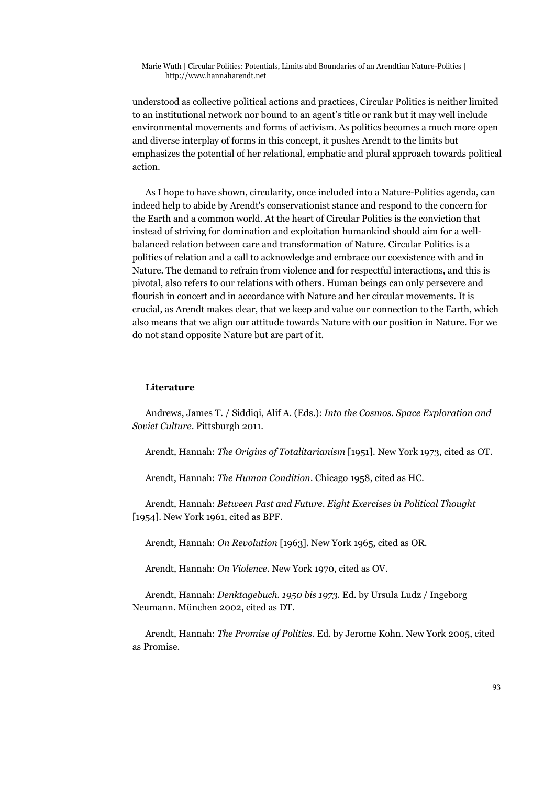understood as collective political actions and practices, Circular Politics is neither limited to an institutional network nor bound to an agent's title or rank but it may well include environmental movements and forms of activism. As politics becomes a much more open and diverse interplay of forms in this concept, it pushes Arendt to the limits but emphasizes the potential of her relational, emphatic and plural approach towards political action.

As I hope to have shown, circularity, once included into a Nature-Politics agenda, can indeed help to abide by Arendt's conservationist stance and respond to the concern for the Earth and a common world. At the heart of Circular Politics is the conviction that instead of striving for domination and exploitation humankind should aim for a wellbalanced relation between care and transformation of Nature. Circular Politics is a politics of relation and a call to acknowledge and embrace our coexistence with and in Nature. The demand to refrain from violence and for respectful interactions, and this is pivotal, also refers to our relations with others. Human beings can only persevere and flourish in concert and in accordance with Nature and her circular movements. It is crucial, as Arendt makes clear, that we keep and value our connection to the Earth, which also means that we align our attitude towards Nature with our position in Nature. For we do not stand opposite Nature but are part of it.

# **Literature**

Andrews, James T. / Siddiqi, Alif A. (Eds.): *Into the Cosmos. Space Exploration and Soviet Culture*. Pittsburgh 2011.

Arendt, Hannah: *The Origins of Totalitarianism* [1951]*.* New York 1973, cited as OT.

Arendt, Hannah: *The Human Condition*. Chicago 1958, cited as HC.

Arendt, Hannah: *Between Past and Future. Eight Exercises in Political Thought* [1954]. New York 1961, cited as BPF.

Arendt, Hannah: *On Revolution* [1963]. New York 1965, cited as OR.

Arendt, Hannah: *On Violence*. New York 1970, cited as OV.

Arendt, Hannah: *Denktagebuch. 1950 bis 1973.* Ed. by Ursula Ludz / Ingeborg Neumann. München 2002, cited as DT.

Arendt, Hannah: *The Promise of Politics*. Ed. by Jerome Kohn. New York 2005, cited as Promise.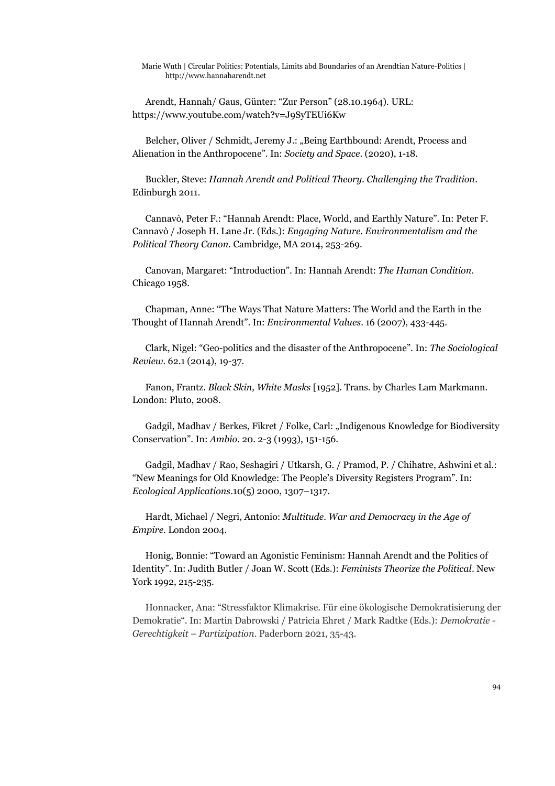Arendt, Hannah/ Gaus, Günter: "Zur Person" (28.10.1964). URL: https://www.youtube.com/watch?v=J9SyTEUi6Kw

Belcher, Oliver / Schmidt, Jeremy J.: "Being Earthbound: Arendt, Process and Alienation in the Anthropocene". In: *Society and Space*. (2020), 1-18.

Buckler, Steve: *Hannah Arendt and Political Theory. Challenging the Tradition*. Edinburgh 2011.

Cannavò, Peter F.: "Hannah Arendt: Place, World, and Earthly Nature". In: Peter F. Cannavò / Joseph H. Lane Jr. (Eds.): *Engaging Nature. Environmentalism and the Political Theory Canon*. Cambridge, MA 2014, 253-269.

Canovan, Margaret: "Introduction". In: Hannah Arendt: *The Human Condition*. Chicago 1958.

Chapman, Anne: "The Ways That Nature Matters: The World and the Earth in the Thought of Hannah Arendt". In: *Environmental Values*. 16 (2007), 433-445.

Clark, Nigel: "Geo-politics and the disaster of the Anthropocene". In: *The Sociological Review.* 62.1 (2014), 19-37.

Fanon, Frantz. *Black Skin, White Masks* [1952]*.* Trans. by Charles Lam Markmann. London: Pluto, 2008.

Gadgil, Madhav / Berkes, Fikret / Folke, Carl: "Indigenous Knowledge for Biodiversity Conservation". In: *Ambio*. 20. 2-3 (1993), 151-156.

Gadgil, Madhav / Rao, Seshagiri / Utkarsh, G. / Pramod, P. / Chihatre, Ashwini et al.: "New Meanings for Old Knowledge: The People's Diversity Registers Program". In: *Ecological Applications*.10(5) 2000, 1307–1317.

Hardt, Michael / Negri, Antonio: *Multitude. War and Democracy in the Age of Empire.* London 2004.

Honig, Bonnie: "Toward an Agonistic Feminism: Hannah Arendt and the Politics of Identity". In: Judith Butler / Joan W. Scott (Eds.): *Feminists Theorize the Political*. New York 1992, 215-235.

Honnacker, Ana: "Stressfaktor Klimakrise. Für eine ökologische Demokratisierung der Demokratie". In: Martin Dabrowski / Patricia Ehret / Mark Radtke (Eds.): *Demokratie - Gerechtigkeit – Partizipation*. Paderborn 2021, 35-43.